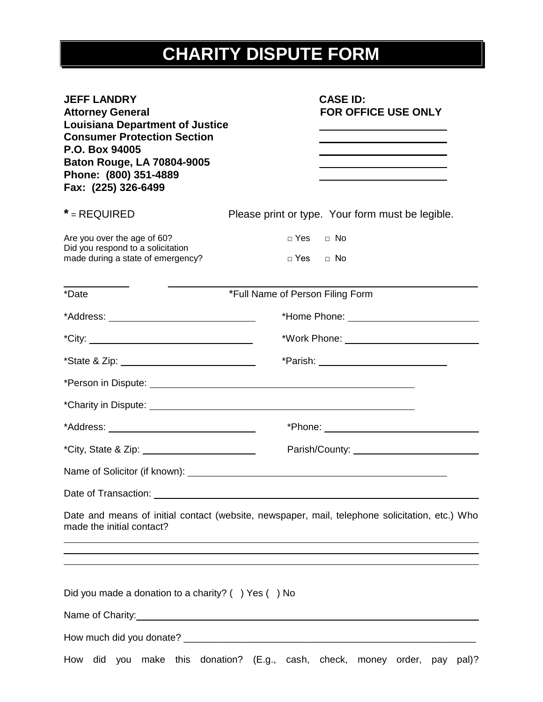## **CHARITY DISPUTE FORM**

| <b>JEFF LANDRY</b><br><b>Attorney General</b><br><b>Louisiana Department of Justice</b><br><b>Consumer Protection Section</b><br>P.O. Box 94005<br><b>Baton Rouge, LA 70804-9005</b><br>Phone: (800) 351-4889<br>Fax: (225) 326-6499 | <b>CASE ID:</b><br><b>FOR OFFICE USE ONLY</b><br><u> 1980 - Johann Barn, amerikan besteman besteman besteman besteman besteman besteman besteman besteman bestema</u>                                                          |  |  |
|--------------------------------------------------------------------------------------------------------------------------------------------------------------------------------------------------------------------------------------|--------------------------------------------------------------------------------------------------------------------------------------------------------------------------------------------------------------------------------|--|--|
| $*$ = REQUIRED                                                                                                                                                                                                                       | Please print or type. Your form must be legible.                                                                                                                                                                               |  |  |
| Are you over the age of 60?<br>Did you respond to a solicitation<br>made during a state of emergency?                                                                                                                                | DYes DNo<br>□ Yes □ No                                                                                                                                                                                                         |  |  |
| *Date                                                                                                                                                                                                                                | *Full Name of Person Filing Form                                                                                                                                                                                               |  |  |
|                                                                                                                                                                                                                                      | *Home Phone: <u>www.community.com</u>                                                                                                                                                                                          |  |  |
|                                                                                                                                                                                                                                      |                                                                                                                                                                                                                                |  |  |
|                                                                                                                                                                                                                                      |                                                                                                                                                                                                                                |  |  |
|                                                                                                                                                                                                                                      |                                                                                                                                                                                                                                |  |  |
|                                                                                                                                                                                                                                      |                                                                                                                                                                                                                                |  |  |
|                                                                                                                                                                                                                                      | *Phone: ___________________________________                                                                                                                                                                                    |  |  |
|                                                                                                                                                                                                                                      | Parish/County: example of the state of the state of the state of the state of the state of the state of the state of the state of the state of the state of the state of the state of the state of the state of the state of t |  |  |
|                                                                                                                                                                                                                                      |                                                                                                                                                                                                                                |  |  |
|                                                                                                                                                                                                                                      |                                                                                                                                                                                                                                |  |  |
| made the initial contact?                                                                                                                                                                                                            | Date and means of initial contact (website, newspaper, mail, telephone solicitation, etc.) Who<br>,我们也不会有什么。""我们的人,我们也不会有什么?""我们的人,我们也不会有什么?""我们的人,我们也不会有什么?""我们的人,我们也不会有什么?""我们的人                                             |  |  |
| Did you made a donation to a charity? () Yes () No                                                                                                                                                                                   | Name of Charity: Name of Charity:                                                                                                                                                                                              |  |  |
|                                                                                                                                                                                                                                      |                                                                                                                                                                                                                                |  |  |
| How                                                                                                                                                                                                                                  | did you make this donation? (E.g., cash, check, money order, pay<br>pal)?                                                                                                                                                      |  |  |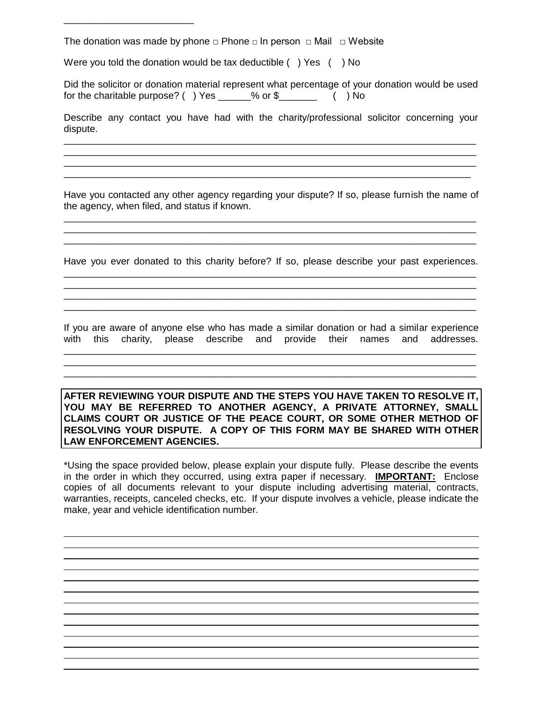The donation was made by phone  $\Box$  Phone  $\Box$  In person  $\Box$  Mail  $\Box$  Website

Were you told the donation would be tax deductible () Yes () No

\_\_\_\_\_\_\_\_\_\_\_\_\_\_\_\_\_\_\_\_\_\_\_\_

Did the solicitor or donation material represent what percentage of your donation would be used for the charitable purpose? ( ) Yes \_\_\_\_\_\_% or \$\_\_\_\_\_\_\_ ( ) No

Describe any contact you have had with the charity/professional solicitor concerning your dispute. \_\_\_\_\_\_\_\_\_\_\_\_\_\_\_\_\_\_\_\_\_\_\_\_\_\_\_\_\_\_\_\_\_\_\_\_\_\_\_\_\_\_\_\_\_\_\_\_\_\_\_\_\_\_\_\_\_\_\_\_\_\_\_\_\_\_\_\_\_\_\_\_\_\_\_\_

\_\_\_\_\_\_\_\_\_\_\_\_\_\_\_\_\_\_\_\_\_\_\_\_\_\_\_\_\_\_\_\_\_\_\_\_\_\_\_\_\_\_\_\_\_\_\_\_\_\_\_\_\_\_\_\_\_\_\_\_\_\_\_\_\_\_\_\_\_\_\_\_\_\_\_\_ \_\_\_\_\_\_\_\_\_\_\_\_\_\_\_\_\_\_\_\_\_\_\_\_\_\_\_\_\_\_\_\_\_\_\_\_\_\_\_\_\_\_\_\_\_\_\_\_\_\_\_\_\_\_\_\_\_\_\_\_\_\_\_\_\_\_\_\_\_\_\_\_\_\_\_\_ \_\_\_\_\_\_\_\_\_\_\_\_\_\_\_\_\_\_\_\_\_\_\_\_\_\_\_\_\_\_\_\_\_\_\_\_\_\_\_\_\_\_\_\_\_\_\_\_\_\_\_\_\_\_\_\_\_\_\_\_\_\_\_\_\_\_\_\_\_\_\_\_\_\_\_

Have you contacted any other agency regarding your dispute? If so, please furnish the name of the agency, when filed, and status if known. \_\_\_\_\_\_\_\_\_\_\_\_\_\_\_\_\_\_\_\_\_\_\_\_\_\_\_\_\_\_\_\_\_\_\_\_\_\_\_\_\_\_\_\_\_\_\_\_\_\_\_\_\_\_\_\_\_\_\_\_\_\_\_\_\_\_\_\_\_\_\_\_\_\_\_\_

Have you ever donated to this charity before? If so, please describe your past experiences. \_\_\_\_\_\_\_\_\_\_\_\_\_\_\_\_\_\_\_\_\_\_\_\_\_\_\_\_\_\_\_\_\_\_\_\_\_\_\_\_\_\_\_\_\_\_\_\_\_\_\_\_\_\_\_\_\_\_\_\_\_\_\_\_\_\_\_\_\_\_\_\_\_\_\_\_

\_\_\_\_\_\_\_\_\_\_\_\_\_\_\_\_\_\_\_\_\_\_\_\_\_\_\_\_\_\_\_\_\_\_\_\_\_\_\_\_\_\_\_\_\_\_\_\_\_\_\_\_\_\_\_\_\_\_\_\_\_\_\_\_\_\_\_\_\_\_\_\_\_\_\_\_ \_\_\_\_\_\_\_\_\_\_\_\_\_\_\_\_\_\_\_\_\_\_\_\_\_\_\_\_\_\_\_\_\_\_\_\_\_\_\_\_\_\_\_\_\_\_\_\_\_\_\_\_\_\_\_\_\_\_\_\_\_\_\_\_\_\_\_\_\_\_\_\_\_\_\_\_ \_\_\_\_\_\_\_\_\_\_\_\_\_\_\_\_\_\_\_\_\_\_\_\_\_\_\_\_\_\_\_\_\_\_\_\_\_\_\_\_\_\_\_\_\_\_\_\_\_\_\_\_\_\_\_\_\_\_\_\_\_\_\_\_\_\_\_\_\_\_\_\_\_\_\_\_

\_\_\_\_\_\_\_\_\_\_\_\_\_\_\_\_\_\_\_\_\_\_\_\_\_\_\_\_\_\_\_\_\_\_\_\_\_\_\_\_\_\_\_\_\_\_\_\_\_\_\_\_\_\_\_\_\_\_\_\_\_\_\_\_\_\_\_\_\_\_\_\_\_\_\_\_ \_\_\_\_\_\_\_\_\_\_\_\_\_\_\_\_\_\_\_\_\_\_\_\_\_\_\_\_\_\_\_\_\_\_\_\_\_\_\_\_\_\_\_\_\_\_\_\_\_\_\_\_\_\_\_\_\_\_\_\_\_\_\_\_\_\_\_\_\_\_\_\_\_\_\_\_

If you are aware of anyone else who has made a similar donation or had a similar experience with this charity, please describe and provide their names and addresses. \_\_\_\_\_\_\_\_\_\_\_\_\_\_\_\_\_\_\_\_\_\_\_\_\_\_\_\_\_\_\_\_\_\_\_\_\_\_\_\_\_\_\_\_\_\_\_\_\_\_\_\_\_\_\_\_\_\_\_\_\_\_\_\_\_\_\_\_\_\_\_\_\_\_\_\_

\_\_\_\_\_\_\_\_\_\_\_\_\_\_\_\_\_\_\_\_\_\_\_\_\_\_\_\_\_\_\_\_\_\_\_\_\_\_\_\_\_\_\_\_\_\_\_\_\_\_\_\_\_\_\_\_\_\_\_\_\_\_\_\_\_\_\_\_\_\_\_\_\_\_\_\_ \_\_\_\_\_\_\_\_\_\_\_\_\_\_\_\_\_\_\_\_\_\_\_\_\_\_\_\_\_\_\_\_\_\_\_\_\_\_\_\_\_\_\_\_\_\_\_\_\_\_\_\_\_\_\_\_\_\_\_\_\_\_\_\_\_\_\_\_\_\_\_\_\_\_\_\_

**AFTER REVIEWING YOUR DISPUTE AND THE STEPS YOU HAVE TAKEN TO RESOLVE IT, YOU MAY BE REFERRED TO ANOTHER AGENCY, A PRIVATE ATTORNEY, SMALL CLAIMS COURT OR JUSTICE OF THE PEACE COURT, OR SOME OTHER METHOD OF RESOLVING YOUR DISPUTE. A COPY OF THIS FORM MAY BE SHARED WITH OTHER LAW ENFORCEMENT AGENCIES.**

\*Using the space provided below, please explain your dispute fully. Please describe the events in the order in which they occurred, using extra paper if necessary. **IMPORTANT:** Enclose copies of all documents relevant to your dispute including advertising material, contracts, warranties, receipts, canceled checks, etc. If your dispute involves a vehicle, please indicate the make, year and vehicle identification number.